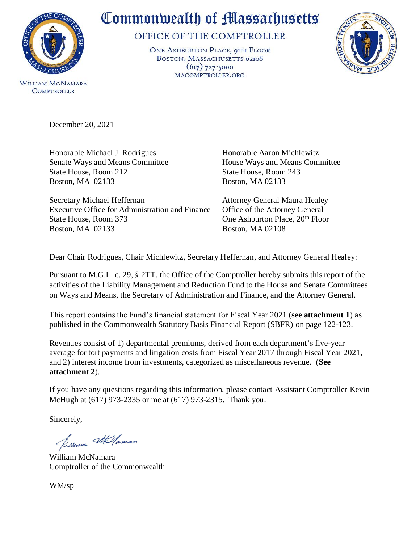

WILLIAM MCNAMARA **COMPTROLLER** 

## Commonwealth of Massachusetts

OFFICE OF THE COMPTROLLER

ONE ASHBURTON PLACE, 9TH FLOOR BOSTON, MASSACHUSETTS 02108  $(617)$  727-5000 MACOMPTROLLER.ORG



December 20, 2021

Honorable Michael J. Rodrigues Honorable Aaron Michlewitz Senate Ways and Means Committee House Ways and Means Committee State House, Room 212 State House, Room 243 Boston, MA 02133 Boston, MA 02133

Secretary Michael Heffernan Attorney General Maura Healey Executive Office for Administration and Finance Office of the Attorney General State House, Room 373 One Ashburton Place, 20<sup>th</sup> Floor Boston, MA 02133 Boston, MA 02108

Dear Chair Rodrigues, Chair Michlewitz, Secretary Heffernan, and Attorney General Healey:

Pursuant to M.G.L. c. 29, § 2TT, the Office of the Comptroller hereby submits this report of the activities of the Liability Management and Reduction Fund to the House and Senate Committees on Ways and Means, the Secretary of Administration and Finance, and the Attorney General.

This report contains the Fund's financial statement for Fiscal Year 2021 (**see attachment 1**) as published in the Commonwealth Statutory Basis Financial Report (SBFR) on page 122-123.

Revenues consist of 1) departmental premiums, derived from each department's five-year average for tort payments and litigation costs from Fiscal Year 2017 through Fiscal Year 2021, and 2) interest income from investments, categorized as miscellaneous revenue. (**See attachment 2**).

If you have any questions regarding this information, please contact Assistant Comptroller Kevin McHugh at (617) 973-2335 or me at (617) 973-2315. Thank you.

Sincerely,

Pulliam Stellaman

William McNamara Comptroller of the Commonwealth

WM/sp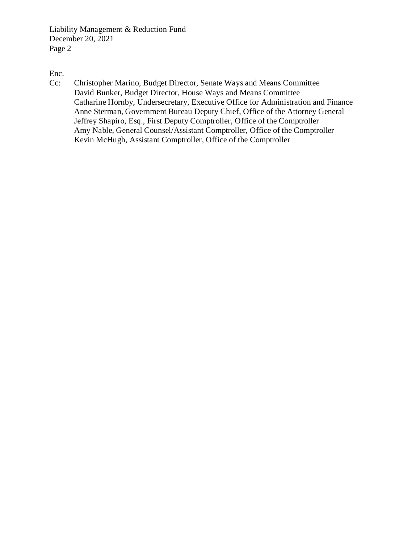Liability Management & Reduction Fund December 20, 2021 Page 2

[Enc.](#page-2-0)

Cc: Christopher Marino, Budget Director, Senate Ways and Means Committee David Bunker, Budget Director, House Ways and Means Committee Catharine Hornby, Undersecretary, Executive Office for Administration and Finance Anne Sterman, Government Bureau Deputy Chief, Office of the Attorney General Jeffrey Shapiro, Esq., First Deputy Comptroller, Office of the Comptroller Amy Nable, General Counsel/Assistant Comptroller, Office of the Comptroller Kevin McHugh, Assistant Comptroller, Office of the Comptroller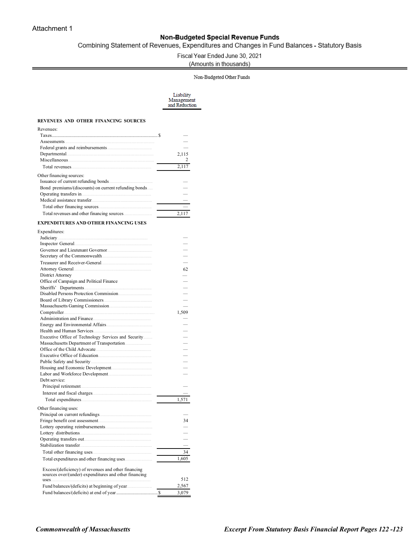## Non-Budgeted Special Revenue Funds

<span id="page-2-0"></span>Combining Statement of Revenues, Expenditures and Changes in Fund Balances - Statutory Basis

Fiscal Year Ended June 30, 2021

(Amounts in thousands)

Non-Budgeted Other Funds

Liability<br>Management<br>and Reduction

## **REVENUES AND OTHER FINANCING SOURCES**

| Revenues:                                            |       |
|------------------------------------------------------|-------|
|                                                      |       |
|                                                      |       |
|                                                      |       |
|                                                      | 2.115 |
|                                                      | 2     |
|                                                      | 2.117 |
| Other financing sources:                             |       |
| Issuance of current refunding bonds.                 |       |
| Bond premiums/(discounts) on current refunding bonds |       |
| Operating transfers in                               |       |
|                                                      |       |
|                                                      |       |
|                                                      | 2.117 |

## **EXPENDITURES AND OTHER FINANCING USES**

Expenditures:

| Expenditures:                                         |       |
|-------------------------------------------------------|-------|
|                                                       |       |
|                                                       |       |
|                                                       |       |
|                                                       |       |
|                                                       |       |
|                                                       | 62    |
| District Attorney                                     |       |
| Office of Campaign and Political Finance              |       |
| Sheriffs' Departments                                 |       |
|                                                       |       |
|                                                       |       |
|                                                       |       |
|                                                       | 1,509 |
| Administration and Finance                            |       |
|                                                       |       |
|                                                       |       |
| Executive Office of Technology Services and Security  |       |
|                                                       |       |
| Office of the Child Advocate                          |       |
|                                                       |       |
|                                                       |       |
|                                                       |       |
|                                                       |       |
| Debt service:                                         |       |
|                                                       |       |
|                                                       |       |
|                                                       | 1,571 |
| Other financing uses:                                 |       |
|                                                       |       |
|                                                       | 34    |
|                                                       |       |
|                                                       |       |
|                                                       |       |
|                                                       |       |
|                                                       | 34    |
|                                                       | 1,605 |
|                                                       |       |
| Excess/(deficiency) of revenues and other financing   |       |
| sources over/(under) expenditures and other financing | 512   |
| uses                                                  |       |
|                                                       | 2,567 |
|                                                       | 3,079 |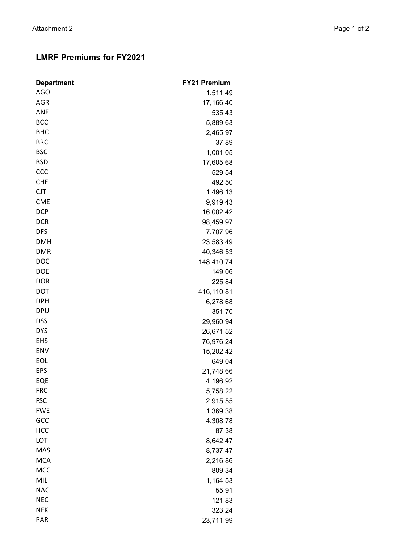| <b>Department</b> | <b>FY21 Premium</b> |
|-------------------|---------------------|
| <b>AGO</b>        | 1,511.49            |
| AGR               | 17,166.40           |
| ANF               | 535.43              |
| <b>BCC</b>        | 5,889.63            |
| <b>BHC</b>        | 2,465.97            |
| <b>BRC</b>        | 37.89               |
| <b>BSC</b>        | 1,001.05            |
| <b>BSD</b>        | 17,605.68           |
| CCC               | 529.54              |
| <b>CHE</b>        | 492.50              |
| CJT               | 1,496.13            |
| <b>CME</b>        | 9,919.43            |
| <b>DCP</b>        | 16,002.42           |
| <b>DCR</b>        | 98,459.97           |
| <b>DFS</b>        | 7,707.96            |
| <b>DMH</b>        | 23,583.49           |
| <b>DMR</b>        | 40,346.53           |
| DOC               | 148,410.74          |
| DOE               | 149.06              |
| <b>DOR</b>        | 225.84              |
| <b>DOT</b>        | 416,110.81          |
| <b>DPH</b>        | 6,278.68            |
| <b>DPU</b>        | 351.70              |
| <b>DSS</b>        | 29,960.94           |
| <b>DYS</b>        | 26,671.52           |
| EHS               | 76,976.24           |
| ENV               | 15,202.42           |
| EOL               | 649.04              |
| EPS               | 21,748.66           |
| EQE               | 4,196.92            |
| <b>FRC</b>        | 5,758.22            |
| <b>FSC</b>        | 2,915.55            |
| <b>FWE</b>        | 1,369.38            |
| GCC               | 4,308.78            |
| HCC               | 87.38               |
| LOT               | 8,642.47            |
| MAS               | 8,737.47            |
| <b>MCA</b>        | 2,216.86            |
| MCC               | 809.34              |
| $MIL$             | 1,164.53            |
| <b>NAC</b>        | 55.91               |
| NEC               | 121.83              |
| <b>NFK</b>        | 323.24              |
| PAR               | 23,711.99           |